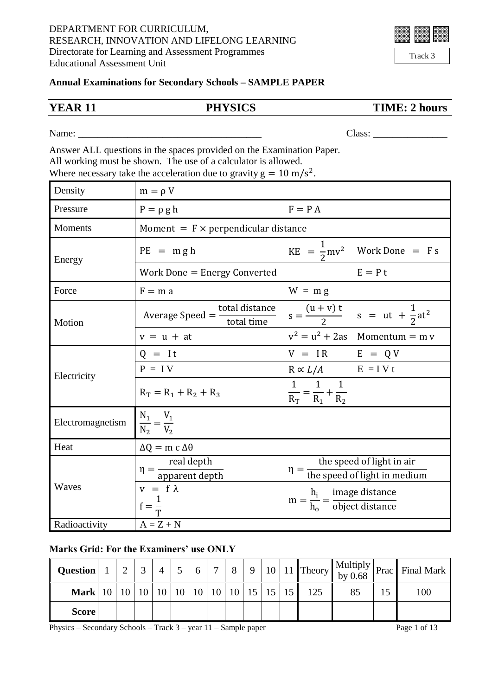| Track 3 |  |
|---------|--|

## **Annual Examinations for Secondary Schools – SAMPLE PAPER**

**YEAR 11 PHYSICS TIME: 2 hours**

Name: Class:

Answer ALL questions in the spaces provided on the Examination Paper. All working must be shown. The use of a calculator is allowed. Where necessary take the acceleration due to gravity  $g = 10 \text{ m/s}^2$ .

| Density          | $m = \rho V$                                             |                                                                                                                                   |  |  |  |
|------------------|----------------------------------------------------------|-----------------------------------------------------------------------------------------------------------------------------------|--|--|--|
| Pressure         | $P = \rho g h$                                           | $F = P A$                                                                                                                         |  |  |  |
| <b>Moments</b>   | Moment = $F \times$ perpendicular distance               |                                                                                                                                   |  |  |  |
| Energy           | $PE = mgh$                                               | $KE = \frac{1}{2}mv^2$ Work Done = F s                                                                                            |  |  |  |
|                  | Work Done = Energy Converted                             | $E = P t$                                                                                                                         |  |  |  |
| Force            | $F = m a$                                                | $W = m g$                                                                                                                         |  |  |  |
| Motion           |                                                          | Average Speed = $\frac{\text{total distance}}{\text{total time}}$ s = $\frac{(u + v)t}{2}$ s = ut + $\frac{1}{2}$ at <sup>2</sup> |  |  |  |
|                  | $v = u + at$                                             | $v^2 = u^2 + 2as$ Momentum = m v                                                                                                  |  |  |  |
|                  | $Q = It$                                                 | $V = IR$ $E = QV$                                                                                                                 |  |  |  |
| Electricity      | $P = IV$                                                 | $R \propto L/A$ $E = IV t$                                                                                                        |  |  |  |
|                  | $R_T = R_1 + R_2 + R_3$                                  | 1 1<br>$\frac{1}{R_{\rm T}} = \frac{1}{R_1} + \frac{1}{R_2}$                                                                      |  |  |  |
| Electromagnetism | $\frac{N_1}{N_2} = \frac{V_1}{V_2}$                      |                                                                                                                                   |  |  |  |
| Heat             | $\Delta Q = m c \Delta \theta$                           |                                                                                                                                   |  |  |  |
|                  | $\eta = \frac{\text{real depth}}{\text{apparent depth}}$ | the speed of light in air<br>$\eta = \frac{1}{\text{the speed of light in medium}}$                                               |  |  |  |
| Waves            | $v = f \lambda$<br>$f = \frac{1}{T}$                     | $m = \frac{h_i}{h_o} = \frac{image distance}{object distance}$                                                                    |  |  |  |
| Radioactivity    | $A = Z + N$                                              |                                                                                                                                   |  |  |  |

## **Marks Grid: For the Examiners' use ONLY**

| <b>Question</b> | $\bigcap$ | $\overline{4}$ | 5 <sup>5</sup> | 6 | $7^{\circ}$ | 8 <sup>1</sup> |  |     |  | $\sim$   9   10   11   Theory   Multiply   Prac   Final Mark |
|-----------------|-----------|----------------|----------------|---|-------------|----------------|--|-----|--|--------------------------------------------------------------|
|                 |           |                |                |   |             |                |  | 125 |  | 100                                                          |
| <b>Score</b>    |           |                |                |   |             |                |  |     |  |                                                              |

Physics – Secondary Schools – Track  $3$  – year  $11$  – Sample paper Page 1 of 13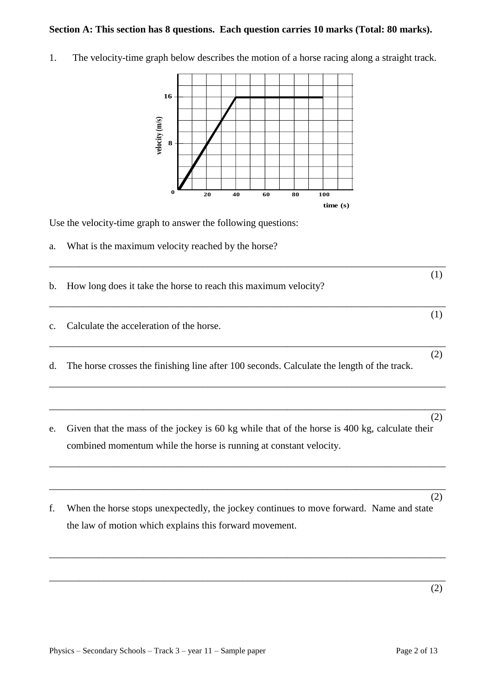## **Section A: This section has 8 questions. Each question carries 10 marks (Total: 80 marks).**

1. The velocity-time graph below describes the motion of a horse racing along a straight track.



Use the velocity-time graph to answer the following questions:

a. What is the maximum velocity reached by the horse?

| (1)                                                                                                                                                                        |
|----------------------------------------------------------------------------------------------------------------------------------------------------------------------------|
|                                                                                                                                                                            |
| (2)<br>The horse crosses the finishing line after 100 seconds. Calculate the length of the track.                                                                          |
| (2)<br>Given that the mass of the jockey is 60 kg while that of the horse is 400 kg, calculate their<br>combined momentum while the horse is running at constant velocity. |
|                                                                                                                                                                            |

\_\_\_\_\_\_\_\_\_\_\_\_\_\_\_\_\_\_\_\_\_\_\_\_\_\_\_\_\_\_\_\_\_\_\_\_\_\_\_\_\_\_\_\_\_\_\_\_\_\_\_\_\_\_\_\_\_\_\_\_\_\_\_\_\_\_\_\_\_\_\_\_\_\_\_\_\_\_\_\_

 (2) f. When the horse stops unexpectedly, the jockey continues to move forward. Name and state the law of motion which explains this forward movement.

\_\_\_\_\_\_\_\_\_\_\_\_\_\_\_\_\_\_\_\_\_\_\_\_\_\_\_\_\_\_\_\_\_\_\_\_\_\_\_\_\_\_\_\_\_\_\_\_\_\_\_\_\_\_\_\_\_\_\_\_\_\_\_\_\_\_\_\_\_\_\_\_\_\_\_\_\_\_\_\_

\_\_\_\_\_\_\_\_\_\_\_\_\_\_\_\_\_\_\_\_\_\_\_\_\_\_\_\_\_\_\_\_\_\_\_\_\_\_\_\_\_\_\_\_\_\_\_\_\_\_\_\_\_\_\_\_\_\_\_\_\_\_\_\_\_\_\_\_\_\_\_\_\_\_\_\_\_\_\_\_

\_\_\_\_\_\_\_\_\_\_\_\_\_\_\_\_\_\_\_\_\_\_\_\_\_\_\_\_\_\_\_\_\_\_\_\_\_\_\_\_\_\_\_\_\_\_\_\_\_\_\_\_\_\_\_\_\_\_\_\_\_\_\_\_\_\_\_\_\_\_\_\_\_\_\_\_\_\_\_\_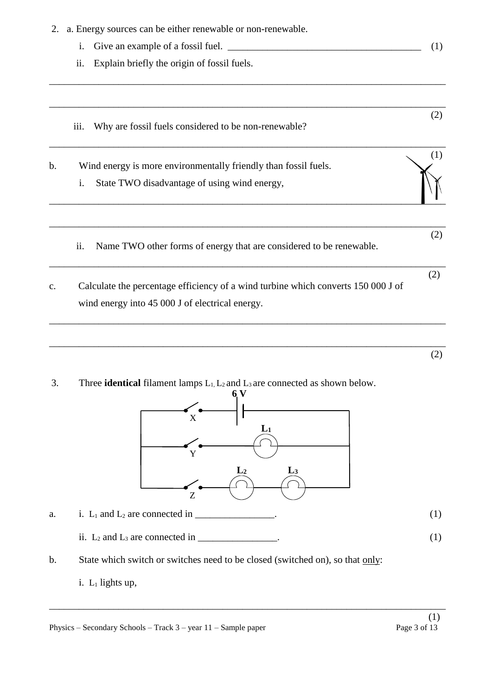|               | 2. a. Energy sources can be either renewable or non-renewable.                                                                       |     |
|---------------|--------------------------------------------------------------------------------------------------------------------------------------|-----|
|               | i.                                                                                                                                   | (1) |
|               | ii.<br>Explain briefly the origin of fossil fuels.                                                                                   |     |
|               | Why are fossil fuels considered to be non-renewable?<br>iii.                                                                         | (2) |
| $\mathbf b$ . | Wind energy is more environmentally friendly than fossil fuels.<br>State TWO disadvantage of using wind energy,<br>i.                | (1) |
|               | Name TWO other forms of energy that are considered to be renewable.<br>ii.                                                           | (2) |
| c.            | Calculate the percentage efficiency of a wind turbine which converts 150 000 J of<br>wind energy into 45 000 J of electrical energy. | (2) |
|               |                                                                                                                                      | (2) |
| 3.            | Three <b>identical</b> filament lamps $L_1, L_2$ and $L_3$ are connected as shown below.<br>6 V<br>X<br>$L_1$<br>Y                   |     |



- a. i.  $L_1$  and  $L_2$  are connected in \_\_\_\_\_\_\_\_\_\_\_\_\_\_\_. (1)
	- ii.  $L_2$  and  $L_3$  are connected in \_\_\_\_\_\_\_\_\_\_\_\_\_\_\_. (1)
- b. State which switch or switches need to be closed (switched on), so that only:
	- i.  $L_1$  lights up,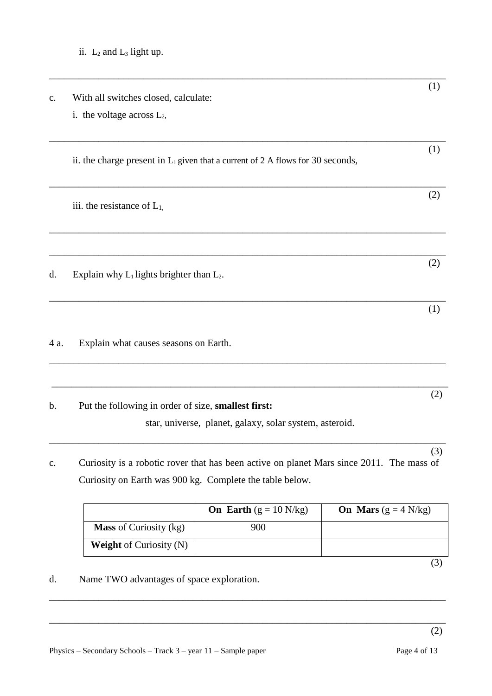|               |                                                                                          | (1) |
|---------------|------------------------------------------------------------------------------------------|-----|
| $C_{\bullet}$ | With all switches closed, calculate:                                                     |     |
|               | i. the voltage across $L_2$ ,                                                            |     |
|               | ii. the charge present in $L_1$ given that a current of 2 A flows for 30 seconds,        | (1) |
|               | iii. the resistance of $L_1$ ,                                                           | (2) |
| d.            | Explain why $L_1$ lights brighter than $L_2$ .                                           | (2) |
|               |                                                                                          | (1) |
| 4 a.          | Explain what causes seasons on Earth.                                                    |     |
| b.            | Put the following in order of size, smallest first:                                      | (2) |
|               | star, universe, planet, galaxy, solar system, asteroid.                                  |     |
| c.            | Curiosity is a robotic rover that has been active on planet Mars since 2011. The mass of | (3) |
|               |                                                                                          |     |
|               | Curiosity on Earth was 900 kg. Complete the table below.                                 |     |

|                                | <b>On Earth</b> $(g = 10 \text{ N/kg})$ | On Mars $(g = 4 \text{ N/kg})$ |
|--------------------------------|-----------------------------------------|--------------------------------|
| <b>Mass</b> of Curiosity (kg)  | 900                                     |                                |
| <b>Weight</b> of Curiosity (N) |                                         |                                |

\_\_\_\_\_\_\_\_\_\_\_\_\_\_\_\_\_\_\_\_\_\_\_\_\_\_\_\_\_\_\_\_\_\_\_\_\_\_\_\_\_\_\_\_\_\_\_\_\_\_\_\_\_\_\_\_\_\_\_\_\_\_\_\_\_\_\_\_\_\_\_\_\_\_\_\_\_\_\_\_ (2)

(3)

d. Name TWO advantages of space exploration.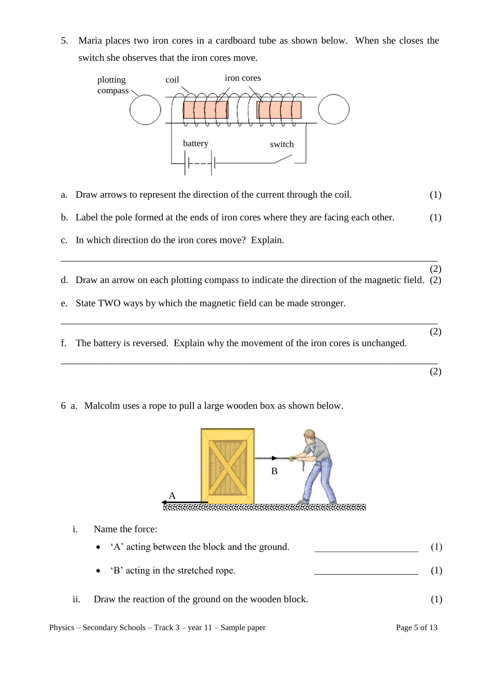5. Maria places two iron cores in a cardboard tube as shown below. When she closes the switch she observes that the iron cores move.



- a. Draw arrows to represent the direction of the current through the coil. (1)
- b. Label the pole formed at the ends of iron cores where they are facing each other. (1)
- c. In which direction do the iron cores move? Explain.
- (2) d. Draw an arrow on each plotting compass to indicate the direction of the magnetic field. (2)

\_\_\_\_\_\_\_\_\_\_\_\_\_\_\_\_\_\_\_\_\_\_\_\_\_\_\_\_\_\_\_\_\_\_\_\_\_\_\_\_\_\_\_\_\_\_\_\_\_\_\_\_\_\_\_\_\_\_\_\_\_\_\_\_\_\_\_\_\_\_\_\_\_\_\_\_

- e. State TWO ways by which the magnetic field can be made stronger.
- f. The battery is reversed. Explain why the movement of the iron cores is unchanged.

\_\_\_\_\_\_\_\_\_\_\_\_\_\_\_\_\_\_\_\_\_\_\_\_\_\_\_\_\_\_\_\_\_\_\_\_\_\_\_\_\_\_\_\_\_\_\_\_\_\_\_\_\_\_\_\_\_\_\_\_\_\_\_\_\_\_\_\_\_\_\_\_\_\_\_\_ (2)

\_\_\_\_\_\_\_\_\_\_\_\_\_\_\_\_\_\_\_\_\_\_\_\_\_\_\_\_\_\_\_\_\_\_\_\_\_\_\_\_\_\_\_\_\_\_\_\_\_\_\_\_\_\_\_\_\_\_\_\_\_\_\_\_\_\_\_\_\_\_\_\_\_\_\_\_ (2)

- 
- 6 a. Malcolm uses a rope to pull a large wooden box as shown below.



<u>iaanaa amama</u> 

i. Name the force:

|  |  | • 'A' acting between the block and the ground. |  |  |  |
|--|--|------------------------------------------------|--|--|--|
|--|--|------------------------------------------------|--|--|--|

- 'B' acting in the stretched rope. (1)
- ii. Draw the reaction of the ground on the wooden block. (1)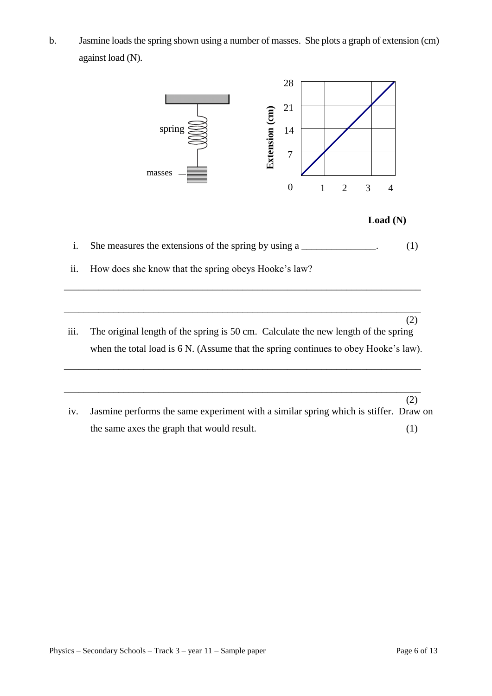b. Jasmine loads the spring shown using a number of masses. She plots a graph of extension (cm) against load (N).



iv. Jasmine performs the same experiment with a similar spring which is stiffer. Draw on the same axes the graph that would result. (1)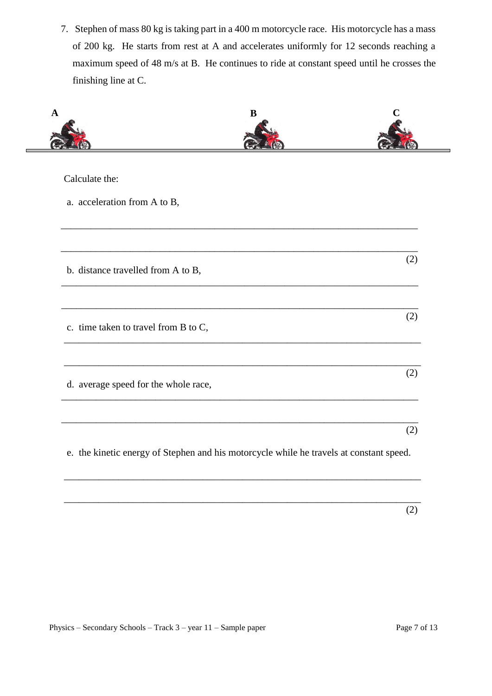7. Stephen of mass 80 kg is taking part in a 400 m motorcycle race. His motorcycle has a mass of 200 kg. He starts from rest at A and accelerates uniformly for 12 seconds reaching a maximum speed of 48 m/s at B. He continues to ride at constant speed until he crosses the finishing line at C.

| B                                    |     |
|--------------------------------------|-----|
| Calculate the:                       |     |
| a. acceleration from A to B,         |     |
|                                      |     |
| b. distance travelled from A to B,   | (2) |
|                                      |     |
| c. time taken to travel from B to C, | (2) |
|                                      |     |
| d. average speed for the whole race, | (2) |
|                                      |     |
|                                      | (2) |

\_\_\_\_\_\_\_\_\_\_\_\_\_\_\_\_\_\_\_\_\_\_\_\_\_\_\_\_\_\_\_\_\_\_\_\_\_\_\_\_\_\_\_\_\_\_\_\_\_\_\_\_\_\_\_\_\_\_\_\_\_\_\_\_\_\_\_\_\_\_\_\_

\_\_\_\_\_\_\_\_\_\_\_\_\_\_\_\_\_\_\_\_\_\_\_\_\_\_\_\_\_\_\_\_\_\_\_\_\_\_\_\_\_\_\_\_\_\_\_\_\_\_\_\_\_\_\_\_\_\_\_\_\_\_\_\_\_\_\_\_\_\_\_\_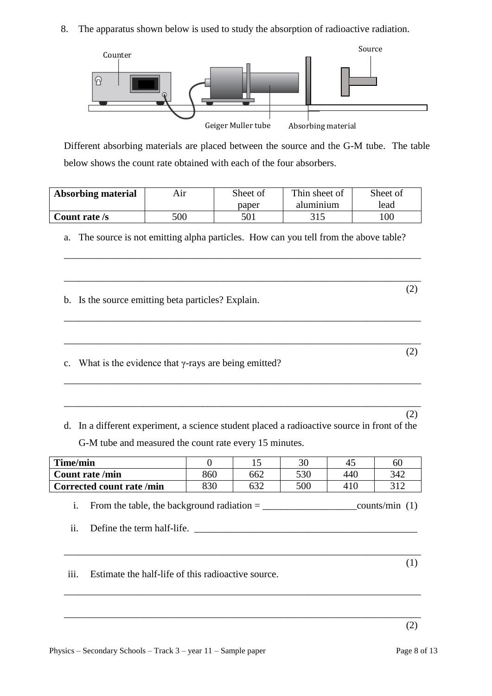8. The apparatus shown below is used to study the absorption of radioactive radiation.



Different absorbing materials are placed between the source and the G-M tube. The table below shows the count rate obtained with each of the four absorbers.

| <b>Absorbing material</b><br>Aır |     | Sheet of | Thin sheet of | Sheet of |
|----------------------------------|-----|----------|---------------|----------|
|                                  |     | paper    | aluminium     | lead     |
| Count rate /s                    | 500 | 501      | 315           | 00       |

a. The source is not emitting alpha particles. How can you tell from the above table?

\_\_\_\_\_\_\_\_\_\_\_\_\_\_\_\_\_\_\_\_\_\_\_\_\_\_\_\_\_\_\_\_\_\_\_\_\_\_\_\_\_\_\_\_\_\_\_\_\_\_\_\_\_\_\_\_\_\_\_\_\_\_\_\_\_\_\_\_\_\_\_\_

\_\_\_\_\_\_\_\_\_\_\_\_\_\_\_\_\_\_\_\_\_\_\_\_\_\_\_\_\_\_\_\_\_\_\_\_\_\_\_\_\_\_\_\_\_\_\_\_\_\_\_\_\_\_\_\_\_\_\_\_\_\_\_\_\_\_\_\_\_\_\_\_

\_\_\_\_\_\_\_\_\_\_\_\_\_\_\_\_\_\_\_\_\_\_\_\_\_\_\_\_\_\_\_\_\_\_\_\_\_\_\_\_\_\_\_\_\_\_\_\_\_\_\_\_\_\_\_\_\_\_\_\_\_\_\_\_\_\_\_\_\_\_\_\_

\_\_\_\_\_\_\_\_\_\_\_\_\_\_\_\_\_\_\_\_\_\_\_\_\_\_\_\_\_\_\_\_\_\_\_\_\_\_\_\_\_\_\_\_\_\_\_\_\_\_\_\_\_\_\_\_\_\_\_\_\_\_\_\_\_\_\_\_\_\_\_\_

\_\_\_\_\_\_\_\_\_\_\_\_\_\_\_\_\_\_\_\_\_\_\_\_\_\_\_\_\_\_\_\_\_\_\_\_\_\_\_\_\_\_\_\_\_\_\_\_\_\_\_\_\_\_\_\_\_\_\_\_\_\_\_\_\_\_\_\_\_\_\_\_

\_\_\_\_\_\_\_\_\_\_\_\_\_\_\_\_\_\_\_\_\_\_\_\_\_\_\_\_\_\_\_\_\_\_\_\_\_\_\_\_\_\_\_\_\_\_\_\_\_\_\_\_\_\_\_\_\_\_\_\_\_\_\_\_\_\_\_\_\_\_\_\_

(2)

b. Is the source emitting beta particles? Explain.

 (2) c. What is the evidence that γ-rays are being emitted?

 (2) d. In a different experiment, a science student placed a radioactive source in front of the G-M tube and measured the count rate every 15 minutes.

| Time/min                 |     |     | 30  |     | 60  |
|--------------------------|-----|-----|-----|-----|-----|
| <b>Count rate /min</b>   | 860 | 662 | 530 | 440 | 342 |
| Corrected count rate/min | 830 | 632 | 500 |     | 210 |

i. From the table, the background radiation = \_\_\_\_\_\_\_\_\_\_\_\_\_\_\_\_\_\_\_counts/min (1)

ii. Define the term half-life. \_\_\_\_\_\_\_\_\_\_\_\_\_\_\_\_\_\_\_\_\_\_\_\_\_\_\_\_\_\_\_\_\_\_\_\_\_\_\_\_\_\_\_\_\_

\_\_\_\_\_\_\_\_\_\_\_\_\_\_\_\_\_\_\_\_\_\_\_\_\_\_\_\_\_\_\_\_\_\_\_\_\_\_\_\_\_\_\_\_\_\_\_\_\_\_\_\_\_\_\_\_\_\_\_\_\_\_\_\_\_\_\_\_\_\_\_\_

\_\_\_\_\_\_\_\_\_\_\_\_\_\_\_\_\_\_\_\_\_\_\_\_\_\_\_\_\_\_\_\_\_\_\_\_\_\_\_\_\_\_\_\_\_\_\_\_\_\_\_\_\_\_\_\_\_\_\_\_\_\_\_\_\_\_\_\_\_\_\_\_

\_\_\_\_\_\_\_\_\_\_\_\_\_\_\_\_\_\_\_\_\_\_\_\_\_\_\_\_\_\_\_\_\_\_\_\_\_\_\_\_\_\_\_\_\_\_\_\_\_\_\_\_\_\_\_\_\_\_\_\_\_\_\_\_\_\_\_\_\_\_\_\_

(2)

iii. Estimate the half-life of this radioactive source.

(1)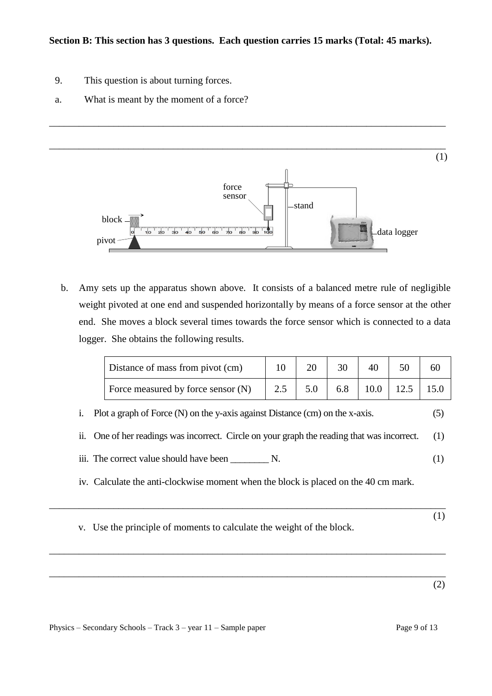- 9. This question is about turning forces.
- a. What is meant by the moment of a force?



b. Amy sets up the apparatus shown above. It consists of a balanced metre rule of negligible weight pivoted at one end and suspended horizontally by means of a force sensor at the other end. She moves a block several times towards the force sensor which is connected to a data logger. She obtains the following results.

| Distance of mass from pivot (cm)   |     |     |               | 60   |
|------------------------------------|-----|-----|---------------|------|
| Force measured by force sensor (N) | 5.0 | 6.8 | $10.0$   12.5 | 15.0 |

- i. Plot a graph of Force (N) on the y-axis against Distance (cm) on the x-axis. (5)
- ii. One of her readings was incorrect. Circle on your graph the reading that was incorrect. (1)
- iii. The correct value should have been  $\mathbb{R}$ . (1)
- iv. Calculate the anti-clockwise moment when the block is placed on the 40 cm mark.

\_\_\_\_\_\_\_\_\_\_\_\_\_\_\_\_\_\_\_\_\_\_\_\_\_\_\_\_\_\_\_\_\_\_\_\_\_\_\_\_\_\_\_\_\_\_\_\_\_\_\_\_\_\_\_\_\_\_\_\_\_\_\_\_\_\_\_\_\_\_\_\_\_\_\_\_\_\_\_\_

\_\_\_\_\_\_\_\_\_\_\_\_\_\_\_\_\_\_\_\_\_\_\_\_\_\_\_\_\_\_\_\_\_\_\_\_\_\_\_\_\_\_\_\_\_\_\_\_\_\_\_\_\_\_\_\_\_\_\_\_\_\_\_\_\_\_\_\_\_\_\_\_\_\_\_\_\_\_\_\_

\_\_\_\_\_\_\_\_\_\_\_\_\_\_\_\_\_\_\_\_\_\_\_\_\_\_\_\_\_\_\_\_\_\_\_\_\_\_\_\_\_\_\_\_\_\_\_\_\_\_\_\_\_\_\_\_\_\_\_\_\_\_\_\_\_\_\_\_\_\_\_\_\_\_\_\_\_\_\_\_

 (1) v. Use the principle of moments to calculate the weight of the block.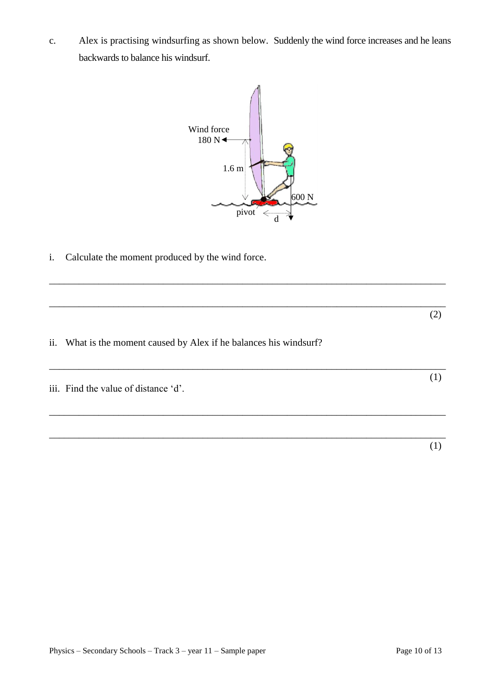c. Alex is practising windsurfing as shown below. Suddenly the wind force increases and he leans backwards to balance his windsurf.



\_\_\_\_\_\_\_\_\_\_\_\_\_\_\_\_\_\_\_\_\_\_\_\_\_\_\_\_\_\_\_\_\_\_\_\_\_\_\_\_\_\_\_\_\_\_\_\_\_\_\_\_\_\_\_\_\_\_\_\_\_\_\_\_\_\_\_\_\_\_\_\_\_\_\_\_\_\_\_\_

\_\_\_\_\_\_\_\_\_\_\_\_\_\_\_\_\_\_\_\_\_\_\_\_\_\_\_\_\_\_\_\_\_\_\_\_\_\_\_\_\_\_\_\_\_\_\_\_\_\_\_\_\_\_\_\_\_\_\_\_\_\_\_\_\_\_\_\_\_\_\_\_\_\_\_\_\_\_\_\_ (2)

\_\_\_\_\_\_\_\_\_\_\_\_\_\_\_\_\_\_\_\_\_\_\_\_\_\_\_\_\_\_\_\_\_\_\_\_\_\_\_\_\_\_\_\_\_\_\_\_\_\_\_\_\_\_\_\_\_\_\_\_\_\_\_\_\_\_\_\_\_\_\_\_\_\_\_\_\_\_\_\_ (1)

\_\_\_\_\_\_\_\_\_\_\_\_\_\_\_\_\_\_\_\_\_\_\_\_\_\_\_\_\_\_\_\_\_\_\_\_\_\_\_\_\_\_\_\_\_\_\_\_\_\_\_\_\_\_\_\_\_\_\_\_\_\_\_\_\_\_\_\_\_\_\_\_\_\_\_\_\_\_\_\_

\_\_\_\_\_\_\_\_\_\_\_\_\_\_\_\_\_\_\_\_\_\_\_\_\_\_\_\_\_\_\_\_\_\_\_\_\_\_\_\_\_\_\_\_\_\_\_\_\_\_\_\_\_\_\_\_\_\_\_\_\_\_\_\_\_\_\_\_\_\_\_\_\_\_\_\_\_\_\_\_

i. Calculate the moment produced by the wind force.

- ii. What is the moment caused by Alex if he balances his windsurf?
- iii. Find the value of distance 'd'.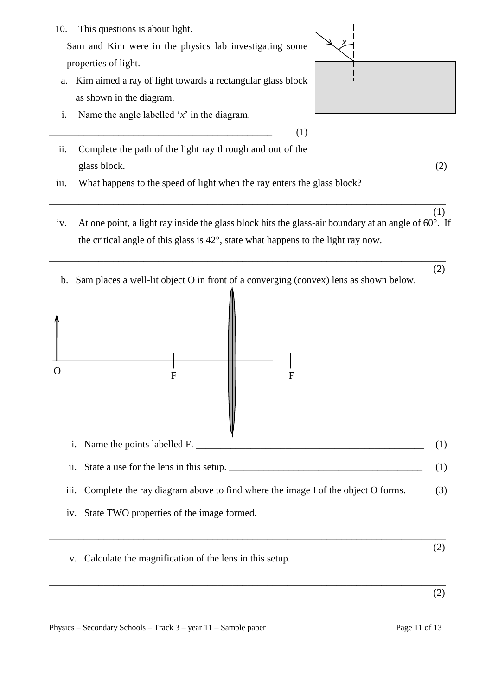- 10. This questions is about light. Sam and Kim were in the physics lab investigating some properties of light. a. Kim aimed a ray of light towards a rectangular glass block as shown in the diagram. i. Name the angle labelled '*x*' in the diagram.  $\overline{\phantom{a}}$  (1) ii. Complete the path of the light ray through and out of the glass block. (2) iii. What happens to the speed of light when the ray enters the glass block? \_\_\_\_\_\_\_\_\_\_\_\_\_\_\_\_\_\_\_\_\_\_\_\_\_\_\_\_\_\_\_\_\_\_\_\_\_\_\_\_\_\_\_\_\_\_\_\_\_\_\_\_\_\_\_\_\_\_\_\_\_\_\_\_\_\_\_\_\_\_\_\_\_\_\_\_\_\_\_\_ (1) *x*
	- iv. At one point, a light ray inside the glass block hits the glass-air boundary at an angle of  $60^\circ$ . If the critical angle of this glass is 42°, state what happens to the light ray now.
- (2) b. Sam places a well-lit object O in front of a converging (convex) lens as shown below.

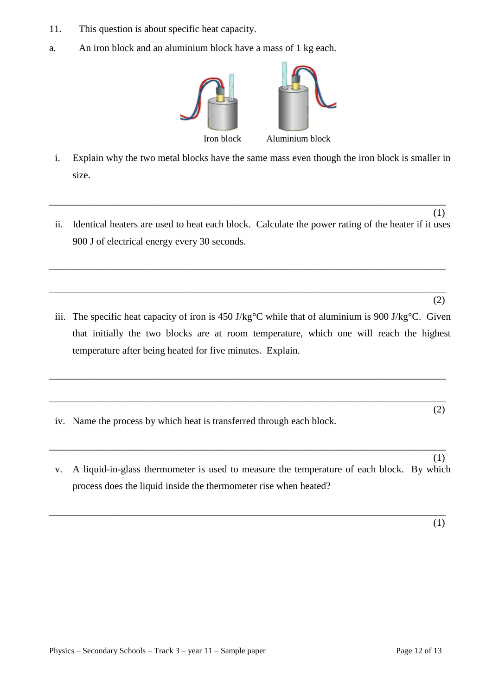- 11. This question is about specific heat capacity.
- a. An iron block and an aluminium block have a mass of 1 kg each.



- i. Explain why the two metal blocks have the same mass even though the iron block is smaller in size.
- (1) ii. Identical heaters are used to heat each block. Calculate the power rating of the heater if it uses 900 J of electrical energy every 30 seconds.

\_\_\_\_\_\_\_\_\_\_\_\_\_\_\_\_\_\_\_\_\_\_\_\_\_\_\_\_\_\_\_\_\_\_\_\_\_\_\_\_\_\_\_\_\_\_\_\_\_\_\_\_\_\_\_\_\_\_\_\_\_\_\_\_\_\_\_\_\_\_\_\_\_\_\_\_\_\_\_\_

\_\_\_\_\_\_\_\_\_\_\_\_\_\_\_\_\_\_\_\_\_\_\_\_\_\_\_\_\_\_\_\_\_\_\_\_\_\_\_\_\_\_\_\_\_\_\_\_\_\_\_\_\_\_\_\_\_\_\_\_\_\_\_\_\_\_\_\_\_\_\_\_\_\_\_\_\_\_\_\_

(2)

iii. The specific heat capacity of iron is 450 J/kg°C while that of aluminium is 900 J/kg°C. Given that initially the two blocks are at room temperature, which one will reach the highest temperature after being heated for five minutes. Explain.

\_\_\_\_\_\_\_\_\_\_\_\_\_\_\_\_\_\_\_\_\_\_\_\_\_\_\_\_\_\_\_\_\_\_\_\_\_\_\_\_\_\_\_\_\_\_\_\_\_\_\_\_\_\_\_\_\_\_\_\_\_\_\_\_\_\_\_\_\_\_\_\_\_\_\_\_\_\_\_\_

\_\_\_\_\_\_\_\_\_\_\_\_\_\_\_\_\_\_\_\_\_\_\_\_\_\_\_\_\_\_\_\_\_\_\_\_\_\_\_\_\_\_\_\_\_\_\_\_\_\_\_\_\_\_\_\_\_\_\_\_\_\_\_\_\_\_\_\_\_\_\_\_\_\_\_\_\_\_\_\_ (2)

\_\_\_\_\_\_\_\_\_\_\_\_\_\_\_\_\_\_\_\_\_\_\_\_\_\_\_\_\_\_\_\_\_\_\_\_\_\_\_\_\_\_\_\_\_\_\_\_\_\_\_\_\_\_\_\_\_\_\_\_\_\_\_\_\_\_\_\_\_\_\_\_\_\_\_\_\_\_\_\_

- iv. Name the process by which heat is transferred through each block.
- (1) v. A liquid-in-glass thermometer is used to measure the temperature of each block. By which process does the liquid inside the thermometer rise when heated?

\_\_\_\_\_\_\_\_\_\_\_\_\_\_\_\_\_\_\_\_\_\_\_\_\_\_\_\_\_\_\_\_\_\_\_\_\_\_\_\_\_\_\_\_\_\_\_\_\_\_\_\_\_\_\_\_\_\_\_\_\_\_\_\_\_\_\_\_\_\_\_\_\_\_\_\_\_\_\_\_